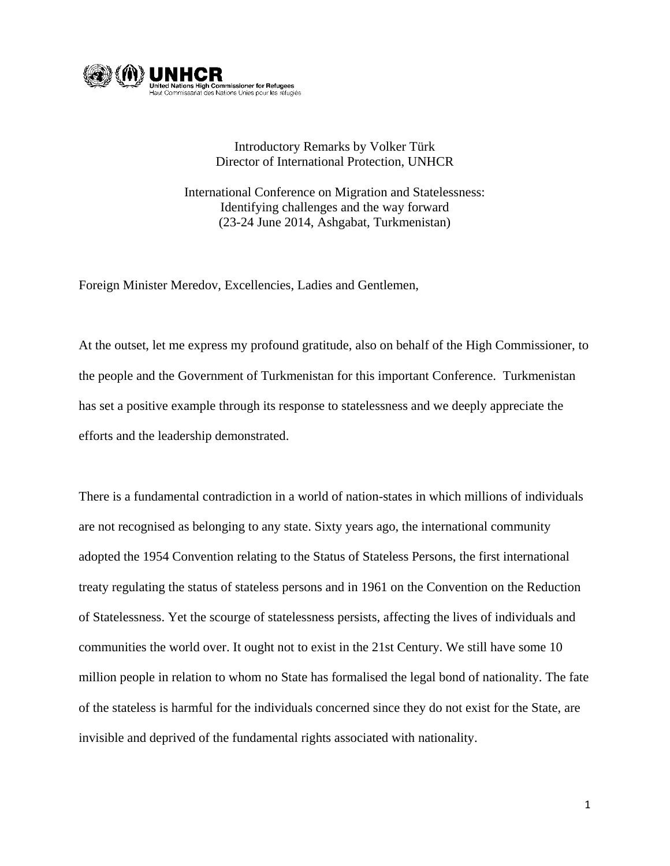

## Introductory Remarks by Volker Türk Director of International Protection, UNHCR

International Conference on Migration and Statelessness: Identifying challenges and the way forward (23-24 June 2014, Ashgabat, Turkmenistan)

Foreign Minister Meredov, Excellencies, Ladies and Gentlemen,

At the outset, let me express my profound gratitude, also on behalf of the High Commissioner, to the people and the Government of Turkmenistan for this important Conference. Turkmenistan has set a positive example through its response to statelessness and we deeply appreciate the efforts and the leadership demonstrated.

There is a fundamental contradiction in a world of nation-states in which millions of individuals are not recognised as belonging to any state. Sixty years ago, the international community adopted the 1954 Convention relating to the Status of Stateless Persons, the first international treaty regulating the status of stateless persons and in 1961 on the Convention on the Reduction of Statelessness. Yet the scourge of statelessness persists, affecting the lives of individuals and communities the world over. It ought not to exist in the 21st Century. We still have some 10 million people in relation to whom no State has formalised the legal bond of nationality. The fate of the stateless is harmful for the individuals concerned since they do not exist for the State, are invisible and deprived of the fundamental rights associated with nationality.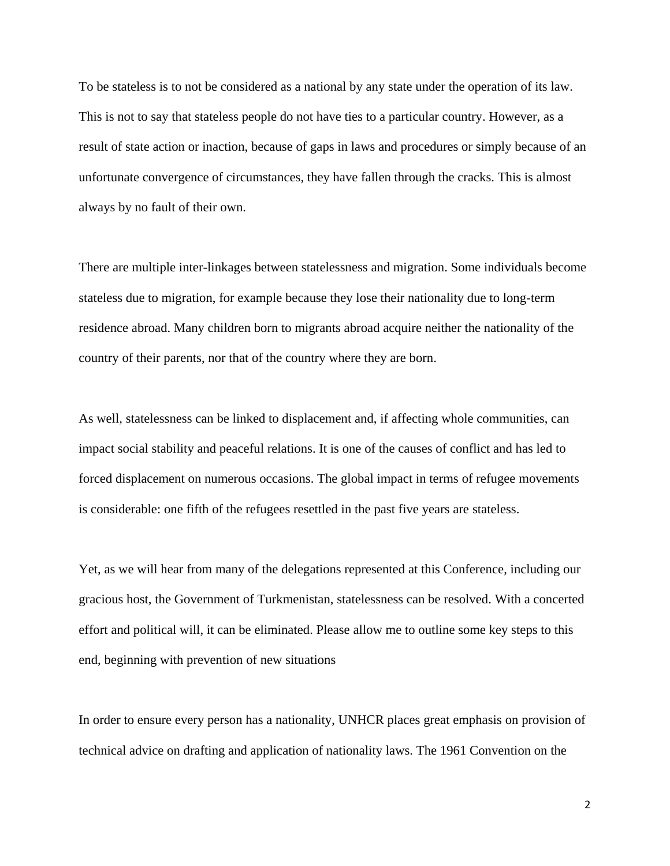To be stateless is to not be considered as a national by any state under the operation of its law. This is not to say that stateless people do not have ties to a particular country. However, as a result of state action or inaction, because of gaps in laws and procedures or simply because of an unfortunate convergence of circumstances, they have fallen through the cracks. This is almost always by no fault of their own.

There are multiple inter-linkages between statelessness and migration. Some individuals become stateless due to migration, for example because they lose their nationality due to long-term residence abroad. Many children born to migrants abroad acquire neither the nationality of the country of their parents, nor that of the country where they are born.

As well, statelessness can be linked to displacement and, if affecting whole communities, can impact social stability and peaceful relations. It is one of the causes of conflict and has led to forced displacement on numerous occasions. The global impact in terms of refugee movements is considerable: one fifth of the refugees resettled in the past five years are stateless.

Yet, as we will hear from many of the delegations represented at this Conference, including our gracious host, the Government of Turkmenistan, statelessness can be resolved. With a concerted effort and political will, it can be eliminated. Please allow me to outline some key steps to this end, beginning with prevention of new situations

In order to ensure every person has a nationality, UNHCR places great emphasis on provision of technical advice on drafting and application of nationality laws. The 1961 Convention on the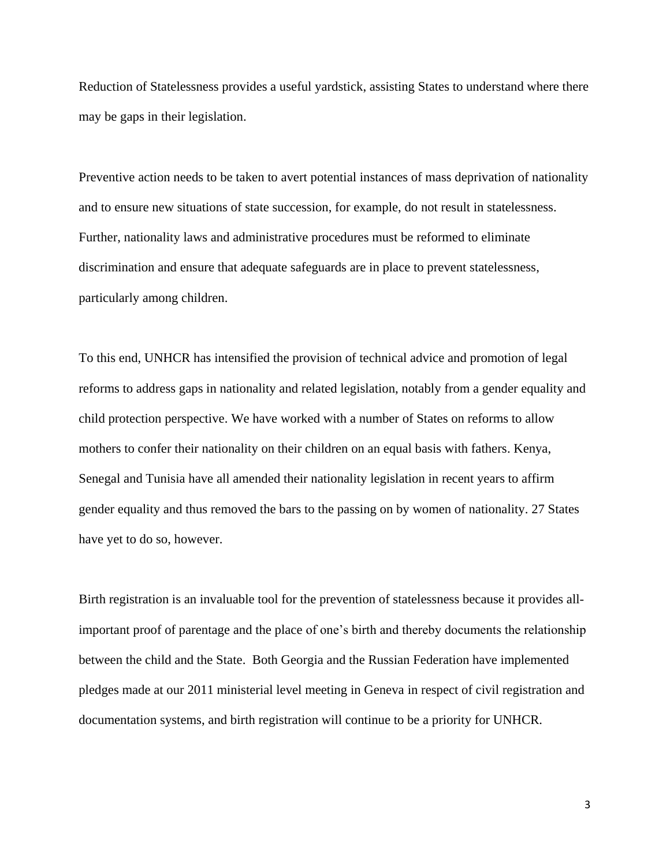Reduction of Statelessness provides a useful yardstick, assisting States to understand where there may be gaps in their legislation.

Preventive action needs to be taken to avert potential instances of mass deprivation of nationality and to ensure new situations of state succession, for example, do not result in statelessness. Further, nationality laws and administrative procedures must be reformed to eliminate discrimination and ensure that adequate safeguards are in place to prevent statelessness, particularly among children.

To this end, UNHCR has intensified the provision of technical advice and promotion of legal reforms to address gaps in nationality and related legislation, notably from a gender equality and child protection perspective. We have worked with a number of States on reforms to allow mothers to confer their nationality on their children on an equal basis with fathers. Kenya, Senegal and Tunisia have all amended their nationality legislation in recent years to affirm gender equality and thus removed the bars to the passing on by women of nationality. 27 States have yet to do so, however.

Birth registration is an invaluable tool for the prevention of statelessness because it provides allimportant proof of parentage and the place of one's birth and thereby documents the relationship between the child and the State. Both Georgia and the Russian Federation have implemented pledges made at our 2011 ministerial level meeting in Geneva in respect of civil registration and documentation systems, and birth registration will continue to be a priority for UNHCR.

3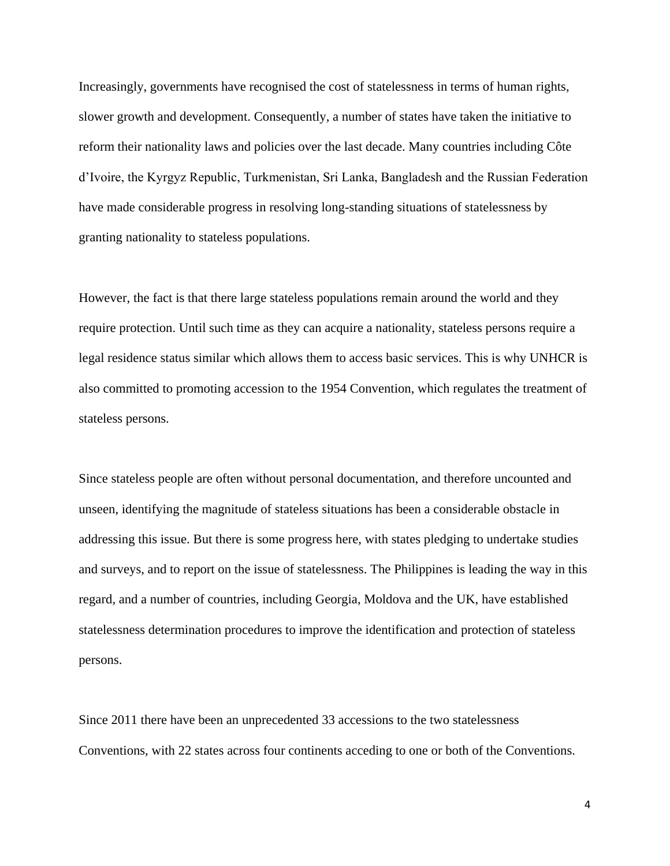Increasingly, governments have recognised the cost of statelessness in terms of human rights, slower growth and development. Consequently, a number of states have taken the initiative to reform their nationality laws and policies over the last decade. Many countries including Côte d'Ivoire, the Kyrgyz Republic, Turkmenistan, Sri Lanka, Bangladesh and the Russian Federation have made considerable progress in resolving long-standing situations of statelessness by granting nationality to stateless populations.

However, the fact is that there large stateless populations remain around the world and they require protection. Until such time as they can acquire a nationality, stateless persons require a legal residence status similar which allows them to access basic services. This is why UNHCR is also committed to promoting accession to the 1954 Convention, which regulates the treatment of stateless persons.

Since stateless people are often without personal documentation, and therefore uncounted and unseen, identifying the magnitude of stateless situations has been a considerable obstacle in addressing this issue. But there is some progress here, with states pledging to undertake studies and surveys, and to report on the issue of statelessness. The Philippines is leading the way in this regard, and a number of countries, including Georgia, Moldova and the UK, have established statelessness determination procedures to improve the identification and protection of stateless persons.

Since 2011 there have been an unprecedented 33 accessions to the two statelessness Conventions, with 22 states across four continents acceding to one or both of the Conventions.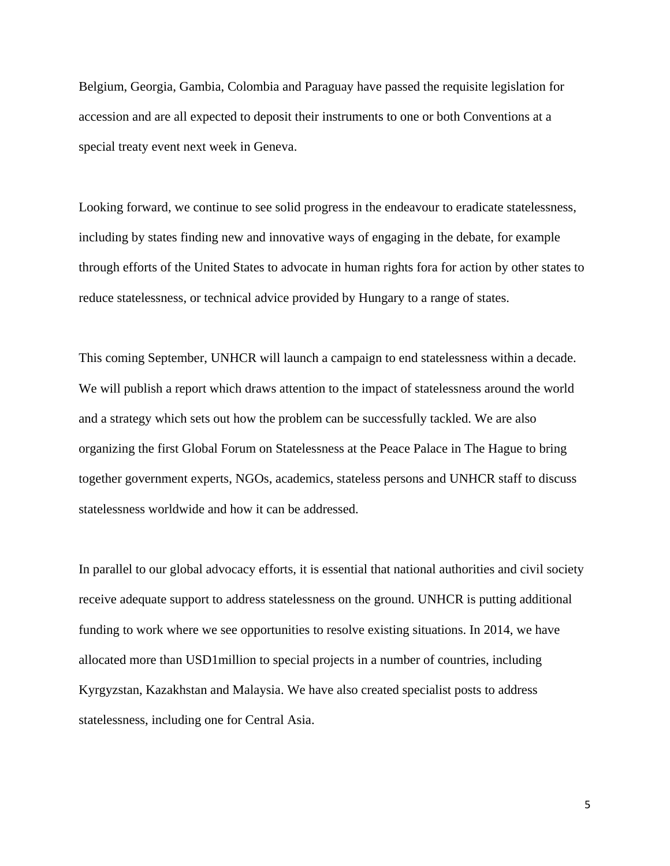Belgium, Georgia, Gambia, Colombia and Paraguay have passed the requisite legislation for accession and are all expected to deposit their instruments to one or both Conventions at a special treaty event next week in Geneva.

Looking forward, we continue to see solid progress in the endeavour to eradicate statelessness, including by states finding new and innovative ways of engaging in the debate, for example through efforts of the United States to advocate in human rights fora for action by other states to reduce statelessness, or technical advice provided by Hungary to a range of states.

This coming September, UNHCR will launch a campaign to end statelessness within a decade. We will publish a report which draws attention to the impact of statelessness around the world and a strategy which sets out how the problem can be successfully tackled. We are also organizing the first Global Forum on Statelessness at the Peace Palace in The Hague to bring together government experts, NGOs, academics, stateless persons and UNHCR staff to discuss statelessness worldwide and how it can be addressed.

In parallel to our global advocacy efforts, it is essential that national authorities and civil society receive adequate support to address statelessness on the ground. UNHCR is putting additional funding to work where we see opportunities to resolve existing situations. In 2014, we have allocated more than USD1million to special projects in a number of countries, including Kyrgyzstan, Kazakhstan and Malaysia. We have also created specialist posts to address statelessness, including one for Central Asia.

5